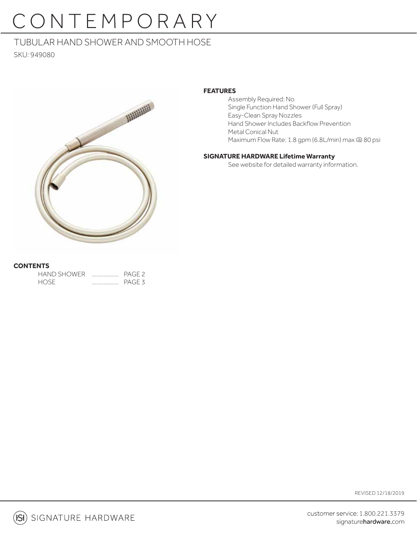# CONTEMPORARY

# TUBULAR HAND SHOWER AND SMOOTH HOSE

SKU: 949080



### **FEATURES**

 Assembly Required: No Single Function Hand Shower (Full Spray) Easy-Clean Spray Nozzles Hand Shower Includes Backflow Prevention Metal Conical Nut Maximum Flow Rate: 1.8 gpm (6.8L/min) max @ 80 psi

### **SIGNATURE HARDWARE Lifetime Warranty**

See website for detailed warranty information.

## **CONTENTS**

| <b>HAND SHOWER</b> | . | PAGE <sub>2</sub> |
|--------------------|---|-------------------|
| <b>HOSE</b>        | . | PAGE <sub>3</sub> |

REVISED 12/18/2019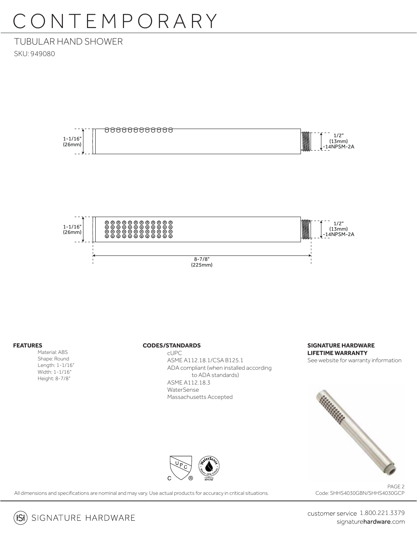# CONTEMPORARY

# TUBULAR HAND SHOWER SKU: 949080



#### **FEATURES**

 Material: ABS Shape: Round Length: 1-1/16" Width: 1-1/16" Height: 8-7/8"

#### **CODES/STANDARDS**

 cUPC ASME A112.18.1/CSA B125.1 ADA compliant (when installed according to ADA standards) ASME A112.18.3 WaterSense Massachusetts Accepted

**SIGNATURE HARDWARE LIFETIME WARRANTY** See website for warranty information



All dimensions and specifications are nominal and may vary. Use actual products for accuracy in critical situations.

PAGE 2 Code: SHHS4030GBN/SHHS4030GCP



customer service 1.800.221.3379 signaturehardware.com